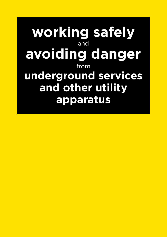**working safely** and **avoiding danger** from **underground services and other utility apparatus**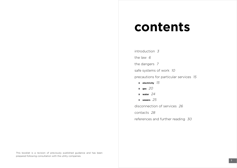# **contents**

introduction 3 the law 6 the dangers <sup>7</sup> safe systems of work 10 precautions for particular services 15 **electricity** 15 **gas** 20 **water** 24 **sewers** 25 disconnection of services 26 contacts 28 references and further reading 30

This booklet is a revision of previously published guidance and has been prepared following consultation with the utility companies.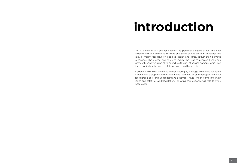# **introduction**

The guidance in this booklet outlines the potential dangers of working near underground and overhead services and gives advice on how to reduce the risks, primarily focussing on people's health and safety rather than damage to services. The precautions taken to reduce the risks to people's health and safety will, however, generally also reduce the risk of service damage, which can directly or indirectly pose a risk to people's health and safety.

In addition to the risk of serious or even fatal injury, damage to services can result in significant disruption and environmental damage, delay the project and incur considerable costs through repairs and potentially fines for non-compliance with health and safety at work legislation. Following this guidance will help to avoid these costs.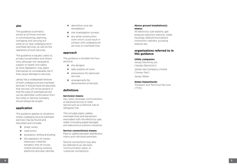#### **aim**

The guidance is primarily aimed at all those involved in commissioning, planning, managing and carrying out work on or near underground or overhead services, as well as the operators of such services.

The guidance is equally useful to private householders and others who, although not necessarily subject to health and safety at work legislation, may place themselves at considerable risk if they cause damage to services.

Jersey has a widespread network of both underground and overhead services. It should never be assumed that services will not be present or that the type of overhead service can be identified; confirmation from the Utility or Service Company should always be sought.

#### **application**

The guidance applies to situations where underground and overhead services may be found and disturbed and includes:

- street works
- nad works
- $\blacksquare$  excavation, drilling and piling
- $\blacksquare$  the operation of cranes, telescopic materials handlers, fork lift trucks, mobile elevating working platforms and skip vehicles
- $\blacksquare$  demolition and site remediation
- site investigation surveys
- any other construction work which could result in contact with underground services or overhead lines

#### **approach**

The guidance is divided into four sections:

- the dangers
- safe systems of work
- **Paraceler** precautions for particular services
- **arrangements for** disconnection of services

#### **definitions**

#### **Service(s) means:**

Gas, water, sewerage, communication, or electrical service or other service such as a chemical, fuel or refrigerant line.

This includes pipes, cables, overhead lines and equipment associated with the electricity, gas, water (including piped sewage) and telecommunications industries.

#### **Service connection(s) means:**

Pipe or cables between distribution mains and individual premises.

Service connections may also be referred to as 'services', 'communication pipes' or 'customer connections'.

#### **Above ground installation(s) means:**

All electricity sub-stations, gas pressure reduction stations, meter housings, telecommunications connection cabinets, pumping stations etc.

#### **organisations referred to in this guidance**

#### **Utility companies**

Jersey Electricity plc ('Jersey Electricity')

Jersey Gas Company Limited ('Jersey Gas') Jersey Water

#### **States Departments**

Transport and Technical Services ('TTS')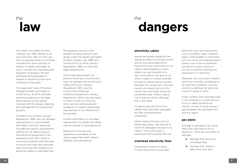## the **law**

the **dangers**

#### **electricity cables**

Injuries are usually caused by the explosive effects of arcing current, and by any associated fire or flames that may result when a live cable is penetrated by a sharp object such as the point of a tool. Such effects can also occur when a cable is crushed severely enough to cause internal contact between the conductors. Typically injuries are severe burns to the hands, face and body, which are potentially fatal. There is also a risk of electric shock, although this is less likely.

Incidents may also arise from cables that have been damaged but left unreported and unrepaired.

Other nearby services, such as plastic gas pipes, may also be at risk from damaged live electricity cables. This could result in explosions and a greater fire risk.

#### **overhead electricity lines**

Inadvertent contact or being in close proximity to overhead electricity lines with equipment such as scaffold tubes, irrigation pipes, metal ladders or machinery such as cranes and tipping trailers, poses a risk of fire or explosion and electric shock, and burn injuries to anyone touching the equipment or machinery.

Materials, such as wood or plastic, which are normally considered to be electrical insulators, can also become a pathway for electrical current if damp or dirty.

Direct contact with overhead lines is not necessary to cause serious injury or death as electrical current can arc or jump across a gap between the overhead lines and the object.

#### **gas pipes**

Damage to gas pipes can cause leaks that may lead to fire or explosion. There are two types of damage:

- damage that causes an immediate leak
- $\mathcal{L}_{\mathcal{A}}$ damage that causes a leak some time later

The Health and Safety at Work (Jersey) Law, 1989, applies to all work activities. Part 2 of the Law sets out general duties on all those involved with work activities in relation to health and safety at work. Included are manufacturers, designers, employers, the selfemployed and employees in respect of persons at work and members of the public.

The Approved Code of Practice, Managing Health and Safety in Construction, ACoP 11, provides practical guidance on the legal duties placed on key parties involved with the design, planning, and management of construction projects.

The Electricity at Work (Jersey) Regulations, 1983, sets out detailed requirements to control health and safety risks from electricity. Included are specific requirements setting out the need to ensure that electrical equipment is not exposed to wet, dirty, dusty or corrosive conditions and the need to ensure that risks are controlled when working near underground electrical cables or overhead lines.

The guidance set out in this booklet will assist persons with duties under the Health and Safety at Work (Jersey) Law, 1989, and the Electricity at Work (Jersey) Regulations, 1983, to meet their legal requirements.

Other legal requirements for persons working on construction sites, for example the Construction Safety Provisions (Jersey) Regulations, 1970, and the Construction (Personal Protective Equipment) (Jersey) Regulations, 2002, may also apply to work carried out involving utility services and equipment. Guidance on meeting these legal requirements is not referred to in this booklet.

Further information on the legal requirements for health and safety may be viewed on www.gov.je/hsi

Reference to the law and regulations is available on the Jersey Legal Information Board website: www.jerseylaw.je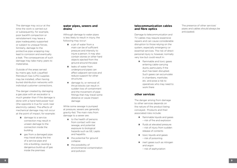The damage may occur at the time the work is carried out or subsequently; for example, poor backfill compaction or reinstatement may leave a pipe inadequately supported or subject to unequal forces. Similarly, damage to the protective pipe wrapping may lead to corrosion and eventually a leak. The consequences of such damage may take many years to materialise.

Outside of the areas served by mains gas, bulk Liquefied Petroleum Gas (LPG) supplies may be installed, often having buried distribution networks with individual customer connections.

The danger created by damaging a gas pipe with an excavator is much greater than if the damage is done with a hand held power tool (the opposite is true for work near electricity cables). The effects of mechanical damage may not occur at the point of impact, for example:

- damage to a service connection may result in unseen damage to the connection inside the building
- gas from a damaged pipe may travel along the line of a service pipe and into a building, causing a dangerous build-up of gas inside the premises

#### **water pipes, sewers and drains**

Although damage to water pipes is less likely to result in injury, the following may occur:

- $\blacksquare$  a jet of water from a main can be of sufficient pressure and intensity to injure a person. It may also contain stones or other hard objects ejected from the ground around the pipe
- **L** leaks of water from underground pipes can affect adjacent services and reduce support for other structures
- damage to, or removal of, thrust blocks can result in sudden loss of containment and the movement of pipe fittings that may travel some distance or cause impact damage

While some sewage is pumped at pressure, sewers are generally gravity-fed. The main risks from damage to a sewer are:

- to the health of persons from contact with raw sewage, and potential exposure to biological hazards such as GE, Lepto and hepatitis
- $\blacksquare$  the potential for ground collapse
- $\blacksquare$  the possibility of environmental contamination and pollution

#### **telecommunication cables and fibre optics**

Damage to telecommunication and TV cables may require expensive repairs and can cause considerable disruption to those relying on the system, especially emergency or essential services. The risk of direct personal injury is, however, normally very low but could result in:

**flammable and toxic gases** entering cable-carrying ducts, particularly if the duct has been disrupted. Such gases can accumulate in chambers, manholes etc. and pose a risk to operatives who may need to work there

#### **other services**

The danger arising from damage to other services depends on the nature of the product being conveyed. Products and their associated risks include:

- **F** flammable liquids and gases – risk of fire and explosion
- **fluids at elevated pressure**  – risk of injury from sudden release of contents
- $\blacksquare$  toxic liquids and gases – risk of poisoning
- inert gases such as nitrogen and argon
	- risk of asphyxiation

The presence of other services' pipes and cables should always be anticipated.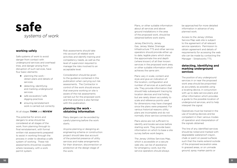## systems of work **safe**

#### **working safely**

Safe systems of work to avoid danger from contact with underground services and overhead lines, and danger arising from disruption of such services, have four basic elements:

- $\blacksquare$  planning the work obtain plans and details of services
- detecting, identifying and marking underground services
- safe excavation/ safe digging practices
- $\blacksquare$  ensuring reinstatement work is carried out correctly

#### At all stages **THINK** and **REVIEW**

The potential for errors and dangers to arise should be considered at all stages of the work, from planning through to final reinstatement, with formal written risk assessments prepared to assist in working through the process in order to develop a safe system of working. These risk assessments should be coupled, where necessary, with a work permit system.

Risk assessments should take into account all related work activities and identify training and competency needs, as well as the level of supervision required to manage the risks involved to an acceptable level.

Consideration should be given to the guidance contained in this publication when carrying out risk assessments. The Contractor in control of the work should ensure that everyone working on site is aware of the risk assessments carried out for the proposed work and that everyone is also familiar with this publication.

#### **planning the work obtaining information**

Many dangers can be avoided by careful planning before the work starts.

Anyone planning or designing an engineering scheme or construction project should take due account of the potential presence of utility services and make arrangements for their diversion, disconnection or protection at the design stage of the work.

Plans, or other suitable information about all services and above ground installations in the area of the proposed work, should be obtained before work starts.

Jersey Electricity, Jersey Gas, Jersey Water, Drainage Infrastructure TTS and other service operators should provide either up to date, legible plans which show the approximate line and depth (where known) of all their known services in the proposed work area or other suitable information which achieves the same aim.

Plans vary in scale, content and style and give an indication of the location, configuration and number of services at a particular site. They provide information that should help subsequent tracing by location devices and trial holing, but are rarely drawn accurately to scale and reference points used for dimensions may have changed since the plans were prepared. For various historical reasons utility plans are incomplete and do not normally show service connections.

Plans alone are not sufficient to identify and locate services before starting work. They provide basic information on which to base a site survey before work begins.

The Jersey Utilities Services Map, which is accessible on a secure web site, can be of assistance for emergency work, but the service operators should always

be approached for more detailed information in advance of any planned work.

Access to the Jersey Utilities Service Map web site is subject to the agreement of all relevant service operators. Permission to obtain agreement and details of requirements for accessing the web site can be made by contacting the Manager - Streetworks TTS.

#### **detecting, identifying and marking underground services**

The position of any underground services in or near the proposed work area should be pinpointed as accurately as possible using a locating device, in conjunction with up to date service plans and other information which provides a guide to the possible location of underground services, and to help interpret the signal.

Operatives must be trained in the use of locating devices and be competent in their various modes of operation and interpretation of the signals obtained.

The line of any identified services should be noted and marked with degradable waterproof crayon, chalk or paint on paved surfaces such that the marks extend outside of the proposed excavation area. In grassed areas, or on unmade ground, spray marker paints or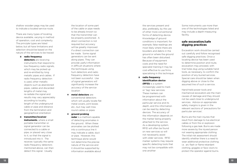shallow wooden pegs may be used to indicate a located service route.

There are many types of locating device available, varying in method of operation, cost and complexity. The principle types are listed below, but all have limitations and selection should be based on the nature of the services to be traced:

#### **radio frequency**

**detectors** are receiving instruments that respond to low-frequency radio signals, which may be picked up and re-emitted by long metallic pipes and cables. If radio frequency detection is used, other metallic objects such as abandoned pipes, cables and discarded lengths of metal may re-radiate the signal and results may vary appreciably according to locality, length of the underground cable or pipe and distance from the termination and geographical orientation

#### **transmitter/receiver**

**instruments**, where a small portable transmitter or signal generator can be connected to a cable or pipe, or placed very close to it, so that the signal is introduced into it. The receiver, typically the same radio frequency detectors mentioned above, can then detect this signal. Usually

the location of some part of the cable or pipe needs to be already known so that the transmitter can be properly positioned. A direct connection is not required but accuracy will be greatly improved if a direct connection can be made. Some signal generators can be sent along pipes. They can provide useful information in difficult situations where the techniques using hum detectors and radio frequency detectors have not been successful. Use of signal generators will significantly increase the accuracy of the service location

- **metal detectors** are conventional detectors which will usually locate flat metal covers, joint boxes etc., but may well miss round cables or pipes
- **ground probing radar** is a method capable of detecting anomalies in the ground. When these anomalies can be plotted into a continuous line it may indicate a cable, duct or pipe. However, this technique alone would not determine the precise nature of the service and it should be supported by information available about

the services present and also, preferably, by the use of other more conventional forms of detecting device. Knowledge of ground conditions is important; for example, false readings are most likely where there are boulders and debris in the ground or where the ground has often been disturbed. Because of equipment costs and the need for specialist training it may be cost-effective to use firms specialising in this technique

#### **radio frequency identification device (RFID)** is a system

increasingly used to mark or 'tag' new services. These markers can be programmed with information about the particular service and its depth, and this information can be read by detecting devices. The accuracy of the information depends on the marker being properly attached to the service. As a developing system, RFID will often be found on new services so will not necessarily assist with older services. RFID marker systems may require specific detecting tools that may not be compatible with one another

Some instruments use more than one of the technologies listed and may include a depth-measuring facility.

#### **safe excavation/safe digging practices**

Excavation work should be carried out carefully and follow recognised safe digging practices. Once a locating device has been used to determine position and route, excavation may proceed, with trial holes dug using suitable hand tools, as necessary, to confirm the position of any buried services. Special care should be taken when digging above or close to the assumed line of such a service.

Hand-held power tools and mechanical excavators are the main causes of damage and they should not be used close to underground services. Advice on appropriate safety margins is given in the relevant sections of 'precautions for particular services'.

Burns are the main injuries that result from damage to live electrical cables or from fire or explosion following a gas leak. Burns are made more severe by the injured person not wearing appropriate clothing. The initial risk assessment should identify whether there is a need to wear additional protective clothing; i.e. arc flash or flame retardant clothing, goggles or face visors to protect the operator against burns.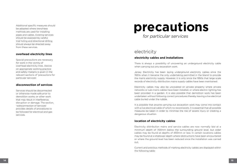Additional specific measures should be adopted where trenchless methods are used for installing pipes and cables. Existing services should be exposed by careful trial holing and directional drilling should always be directed away from these services.

#### **overhead electricity lines**

Special precautions are necessary for work in the vicinity of overhead electricity lines. Advice on appropriate working practice and safety margins is given in the relevant sections of 'precautions for particular services'.

#### **disconnection of services**

Services should be disconnected or otherwise made safe prior to demolition works, or other work that may result in interference, disruption or damage. The section, 'wdisconnection of services' provides details of procedures to be followed for electrical and gas services.

# **precautions**

for particular services

## electricity

#### **electricity cables and installations**

There is always a possibility of uncovering an underground electricity cable when carrying out any excavation work.

Jersey Electricity has been laying underground electricity cables since the 1920s when it became the only undertaking permitted in the Island to provide the mains electricity supply. However, it is only since the 1950s that large scale records of electricity distribution mains supply cables have been maintained.

Electricity cables may also be uncovered on private property where private networks or sub-mains cables have been installed, or where electric lighting has been provided in a garden. It is also possible that demolition work has been undertaken without following correct procedures thereby leaving a live electrical cable buried under the rubble.

It is possible that anyone carrying out excavation work may come into contact with a live electrical cable of which no record exists. It is essential that all possible measures be taken in order to minimise the risk of severe injury or creating a dangerous situation.

#### **location of electricity cables**

Electricity distribution mains and service cables are now normally laid at a minimum depth of 700mm below the surrounding ground level, but older cables may be found at depths of 450mm or less. In certain locations cables may be found at a shallower depth where obstructions have been encountered or where the ground level has been reduced since the installation was carried out.

Current and previous methods of marking electricity cables are displayed within the following table: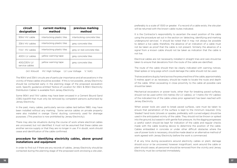| circuit<br>designation        | current marking<br>method  | previous marking<br>method  |
|-------------------------------|----------------------------|-----------------------------|
| 90kV HV cable                 | interlocking plastic tiles | interlocking concrete tiles |
| 33kV HV cables                | interlocking plastic tiles | grey concrete tiles         |
| 11kV HV cables                | interlocking plastic tiles | grey or red concrete tiles  |
| 400V LV cables                | yellow warning tape        | grey concrete tiles         |
| 400/230V LV<br>service cables | yellow warning tape        | grey concrete tiles         |

(kV: Kilovolt HV: High Voltage LV: Low Voltage V: Volt)

The 90kV and 33kV circuits are of particular importance and all excavations in the vicinity of these cables should be avoided. If this is not possible, Jersey Electricity should be contacted early in the planning stage of the proposed excavation work. Specific guidance entitled 'Notice of Location for 33kV & 90kV Electricity Distribution Cables' is available from Jersey Electricity.

Some 90kV and 11kV cables may have been encased in a Cement Bound Sand (CBS) backfill that must only be removed by competent persons authorised by Jersey Electricity.

In the past, many cables, particularly service cables laid before 1980, may have been installed without any marking. Some service cables on private property were also installed in orange 'Osma' ducting, commonly used for drainage purposes. (This practice is now prohibited by Jersey Electricity).

There may also be situations during the course of work where electrical cables are uncovered, but not identified. It must not be assumed that these cables are another service supply or that they are no longer in use. If in doubt, work should cease and identification of the cable confirmed.

#### **procedure for identifying electricity cables, above ground installations and equipment**

In order to find out if there are any records of cables, Jersey Electricity should be contacted during the planning stage of the proposed work enclosing a site plan, preferably to a scale of 1:500 or greater. If a record of a cable exists, the site plan will be returned with the known cable routes indicated.

It is the Contractor's responsibility to ascertain the exact position of the cable using the procedure set out in the section on 'detecting, identifying and marking underground services'. It should be noted that it may not always be possible to detect a live cable; therefore, the absence of an indication of a cable must not be taken as proof that the cable is not present. Similarly the absence of a signal from a known cable should not be taken as indication that the cable is not live.

Electrical cables are not necessarily installed in straight lines and care should be taken to ensure that deviations from the route of the cable are identified.

The route of the cable should then be clearly indicated with warning notices. Steel spikes or long pegs which could damage the cable should not be used.

Trial excavations dug by hand across the presumed line of the cable, approximately 5 metres apart or as necessary, should be made to locate the route and depth of the cable. When excavating in close proximity to the cable all possible care should be taken.

Mechanical excavators or power tools, other than for breaking paved surfaces, should not be used within 0.6 metres (for LV cables), or 1 metre (for HV cables) of the indicated line of the cable unless prior agreement has been reached with Jersey Electricity.

When power tools are used to break paved surfaces, care must be taken to ensure that penetration of the surface is kept to the minimum required. Only 'bladed' hand tools (shovels or spades, preferably with curved edges) should be used in the anticipated vicinity of the cable. They should not be thrown or spiked into the ground, but eased in with gentle foot pressure. As the digging progresses a careful watch should be kept for indication of the cable and regular checks made with the cable locating device to determine the position of the cable. Cables embedded in concrete or under other difficult obstacles where the use of power tools is necessary, should be made dead or an alternative method of work agreed with Jersey Electricity before the work is commenced.

If at any time during excavations around electricity cables or plant, damage should occur or be uncovered, however insignificant, work around the cable or plant should cease, all personnel should be removed from the vicinity and Jersey Electricity must be contacted immediately.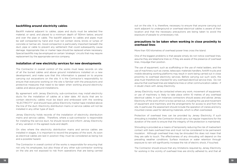#### **backfilling around electricity cables**

Backfill material adjacent to cables, pipes and ducts must be selected fine material, or sand, and placed to a minimum depth of 150mm below, around and over the pipe or cable. The backfill adjacent to cables and pipes must be well compacted by hand and must not contain stone, bricks or lumps of concrete or tarmac etc. Good compaction is particularly important beneath the duct, pipe or cable to prevent any settlement that could subsequently cause damage. Appropriate tiles or marker tape should be replaced where necessary. Special backfills may be employed on certain 'strategic' circuits that may require replacement by the appropriate service company.

#### **installation of new electricity services for new developments**

The Contractor in overall control of the works must keep records on site of all the buried cables and above ground installations installed on a new development, and make sure that this information is passed on to anyone carrying out excavations on the site. It is the Contractor's responsibility to ensure that everyone working on the site is familiar with the precautions and protective measures that need to be taken when working around electricity cables and above ground installations.

By agreement with Jersey Electricity, sub-contractors may install electricity ducts for the installation of cables at a later date. All ducts that are to contain electricity cables must be black and embossed with the wording "ELECTRICITY" and should have yellow Electricity marker tape installed above the line of the duct. Electricity distribution mains or service cables will not be installed in any other type of duct.

Jersey Electricity holds records of the installation of electricity distribution mains and service cables. Therefore, where a sub-contractor is responsible for installing the service duct, he should record and inform Jersey Electricity of any variation in the agreed route and depth.

On sites where the electricity distribution mains and service cables are installed in stages, it is important to record the progress of the work. As soon as electrical cables are laid in position they must be considered as being live and a possible hazard.

The Contractor in overall control of the works is responsible for ensuring that not only his employees, but also those of any other sub-contractor working on the site are not exposed to risk from operations that are being carried out on the site. It is, therefore, necessary to ensure that anyone carrying out work adjacent to underground or overhead electrical cables is aware of their location and that the necessary precautions are being taken to avoid the exposure of people to unnecessary risk.

#### **precautions to be taken when working in close proximity to overhead lines**

More than 100 kilometres of overhead power lines cross the Island.

One of the biggest problems is that people simply do not notice overhead lines, assume they are telephone lines or, if they are aware of the presence of overhead lines, misjudge their position.

The use of equipment, such as scaffolding or the use of metal ladders, and the use of machinery such as cranes, telescopic materials handlers, forklift trucks and mobile elevating working platforms may result in work being carried out in close proximity to overhead electricity services. Before carrying out such work, the area must therefore be checked for any overhead electrical service lines. Do not assume that overhead lines are telephone lines or other communication cables - if in doubt check with Jersey Electricity.

Jersey Electricity must be contacted where any work, movement of equipment, or use of machinery is likely to take place within 10 metres of any overhead electrical cables. In such instances contractors should assess and advise Jersey Electricity of the work which is to be carried out, including the use and movement of equipment and machinery and the arrangements for access to and from the site. In particular, the assessment should include the operation of cranes and lorry mounted cranes used for delivering materials, which is often overlooked.

Protection of overhead lines can be provided by Jersey Electricity. If such shrouding is installed, the Contractor should carry out regular inspections for the duration of the work to ensure that the integrity of the protection is maintained.

Shrouding is provided as a means of temporarily reducing the risk of inadvertent contact with bare overhead lines and must not be considered to be permanent insulation. Although overhead lines may be shrouded this does not mean that they are safe to touch. The effectiveness of any shrouding will depend on the prevailing weather conditions. Surface moisture or water retention through exposure to rain will significantly increase the risk of electric shock, if touched.

The Contractor should ensure that any limitations required by Jersey Electricity for working in the vicinity of overhead lines are strictly adhered to, and that all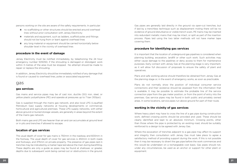persons working on the site are aware of the safety requirements. In particular:

- no scaffolding or other structures should be erected around overhead lines without prior consultation with Jersey Electricity
- materials and equipment, such as ladders, scaffold poles and fittings should not be hung from or leant against overhead lines
- **n** any long material or equipment should be carried horizontally below shoulder level in the vicinity of overhead lines

#### **procedure in the event of damage**

Jersey Electricity must be notified immediately, by telephoning the 24 hour emergency number 505050, if the shrouding is damaged or dislodged; work within 3 metres of the area must be stopped. No attempt should be made to repair or replace the shrouding.

In addition, Jersey Electricity should be immediately notified of any damage that is found or caused to overhead lines, poles or associated equipment.

#### gas

#### **gas services**

Gas mains and service pipes may be of cast iron, ductile (SG) iron, steel, or yellow plastic polyethylene (PE) and operate at pressures up to 7 bar (100psi).

Gas is supplied through the mains gas network, and also local LPG (Liquefied Petroleum Gas) supply networks at housing developments or commercial, horticultural and agricultural premises. These LPG supply networks, with either above ground or buried storage vessels, are generally in areas beyond the extent of the mains gas network.

Both mains gas and LPG are heavier than air and can accumulate at ground level or in pits and trenches if allowed to escape.

#### **location of gas services**

The usual depth of cover for gas mains is 750mm in the roadway and 600mm in the footway. The usual depth of cover for gas services is 450mm in both roads and footways, and 375mm on private property. The presence of gas pipes laid in trenches may be indicated by a marker tape laid above the main during backfilling. These depths are only a guide as pipes may be found at shallower, or greater, depths due to subsequent work being carried out or obstructions in the ground.

Gas pipes are generally laid directly in the ground via open-cut trenches, but if laid by a trenchless technique such as displacement moling there will be no evidence of ground disturbance or visible trench scars. PE mains may be inserted into redundant metallic mains that may be intact, or split as part of the insertion process. Pipes laid using the two latter methods will not have marker tape covering them.

#### **procedure for identifying gas services**

It is important that the location of underground gas pipelines is considered when planning building, excavation, landfill or other such work. Such activities may either cause damage to the pipelines or deny access to them for maintenance purposes. Early contact with Jersey Gas at the planning stage is very important, as it will allow full discussion of proposals to ensure the safety of plant and operatives.

Plans and safe working advice should therefore be obtained from Jersey Gas at the planning stage or, in the event of emergency works, as soon as practicable.

Plans do not normally show the position of individual consumer service connections and their existence should be assessed from the information that is available. It may be possible to estimate the probable line of the service connection pipe from the gas meter position, or from the point of entry into the premises. Gas service pipes may be found in both public and privately owned areas. In some locations, service pipes run above ground for part of their route.

#### **working in the vicinity of gas services**

Where heavy plant may have to cross the line of a gas pipe during construction work, defined crossing points should be provided and used. These should be clearly identified and kept to an absolute minimum. Crossing points, other than those where the pipe is protected by an existing road, should be suitably reinforced to a design to be agreed with Jersey Gas.

Where the excavation of trenches adjacent to a gas pipe may affect its support and integrity then consultation with Jersey Gas must take place to agree a satisfactory method of providing support during the work. If this is not possible then it may be necessary to divert the gas pipe before the work commences and this would be undertaken on a rechargeable cost basis. Gas pipes should not, under any circumstances, be used as an anchor or support for other plant or equipment.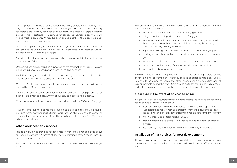PE gas pipes cannot be traced electronically. They should be located by hand dug trial holes before mechanical excavation begins. This will also be necessary for metallic pipes if they have not been successfully located by a pipe-detecting device. This is particularly important for service connection pipes which will not be marked on plans. When the position and depth of the pipes have been determined, work can proceed.

Gas pipes may have projections such as housings, valves, siphons and standpipes that are not shown on plans. To allow for this, mechanical excavators should not be used within 500mm of a gas pipe.

Thrust blocks, pipe supports or restraints should never be disturbed as this may cause sudden failure of the main.

Uncovered gas pipes should be supported to the satisfaction of Jersey Gas and pipes should never be used as an anchor or to give support.

Backfill around gas pipes should be screened sand, quarry dust or other similar fine material, NOT bricks, stones or other hard materials.

Concrete (including foam concrete for reinstatement) backfill should not be used within 300mm of a gas pipe.

Power compaction equipment should not be used over a gas pipe until it has been covered with at least 200mm of suitably compacted fine material.

Other services should not be laid above, below or within 300mm of any gas pipe.

If at any time during excavations around gas pipes damage should occur or be uncovered, however insignificant, work around the pipe should cease, all personnel should be removed from the vicinity and the Jersey Gas Company advised immediately.

#### **other work near gas services**

Temporary buildings provided for construction work should not be placed above any gas pipe or within 3 metres of gas mains operating above 75mbar, (medium and high pressure mains).

Buildings or other permanent structures should not be constructed over any gas pipe.

Because of the risks they pose, the following should not be undertaken without consultation with Jersey Gas:

- $\blacksquare$  the use of explosives within 30 metres of any gas pipe
- $\Box$  piling or vertical boring within 15 metres of any gas pipe
- $\blacksquare$  excavation work within 10 metres of any above-ground gas installation; these may be GRP or brick / block built kiosks, or may be an integral part of an existing building or structure
- $\Box$  any work involving deep excavations (1.5 m or more) near a gas pipe
- building a manhole, chamber or other structure over, around, or under a gas pipe
- work which results in a reduction of cover or protection over a pipe
- work which results in a significant increase in cover over a pipe
- $\blacksquare$  tree planting above or near a gas pipe

If welding or other hot working involving naked flames or other possible sources of ignition is to be carried out within 10 metres of exposed gas plant, Jersey Gas should be asked to check the atmosphere before work begins and at regular intervals during the work. Care should be taken that no damage occurs, particularly to plastic pipes or to the protective coatings on other gas pipes.

#### **procedure in the event of an escape of gas**

If a gas leak is suspected, repairs should not be attempted. Instead the following action should be taken immediately:

- $\Box$  evacuate everyone from the immediate vicinity of the escape. If it is suspected that gas is entering a building, warn the occupants to leave the building (and any adjacent buildings) until it is safe for them to return
- inform Jersey Gas by telephoning 755555
- **n** prohibit smoking, and extinguish all naked flames and other sources of ignition
- **E** assist Jersey Gas and emergency service personnel, as requested

#### **installation of gas services for new developments**

All enquiries regarding the proposed installation of gas services at new developments should be addressed to the Load Development Officer at Jersey Gas.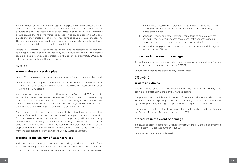A large number of incidents and damage to gas pipes occurs on new development sites. It is therefore essential that the Contractor in control of the work maintains accurate and current records of all buried Jersey Gas services. The Contractor should ensure that this information is passed on to anyone carrying out works on site that may create risk of interference damage to Jersey Gas services. The Contractor should also ensure that everyone working on site is familiar with and understands the advice contained in this publication.

Where a Contractor undertakes backfilling and reinstatement of trenches following installation of gas services, they must ensure that the warning marker tape provided by Jersey Gas is installed in the backfill approximately 200mm to 300 mm above the line of the gas service.

### water

#### **water mains and service pipes**

Jersey Water mains and service connections may be found throughout the Island.

Jersey Water mains may be cast iron, ductile iron, Everite AC, blue MDPE plastic or grey uPVC, and service pipework may be galvanised iron, lead, copper, black PVC or blue MDPE plastic.

Water mains are usually laid at a depth of between 600mm and 900mm depth and service connections between 375mm and 600mm. Local circumstances may have resulted in the mains and service connections being installed at shallower depths. Water services are laid at similar depths to gas mains and care must therefore be taken to distinguish between the different supplies.

The presence of a 'live' water service can usually be determined by a stopcock or meter surface box located near the boundary of the property. Once a disconnection form has been requested the water supply to the property will be turned off by Jersey Water. Work being undertaken in the vicinity of Jersey Water's stopcock should be performed with care. If the water service pipe (downstream of the stopcock) interferes with construction works the pipe should be disconnected from the stopcock to prevent damage to Jersey Water equipment.

#### **working in the vicinity of water services**

Although it may be thought that work near underground water pipes is of low risk, there are dangers involved with such work and precautions should include:

 $\blacksquare$  prior to work commencing plans should be obtained from Jersey Water

and services traced using a pipe locator. Safe digging practice should be adopted, especially for trial holes and where hand excavating to locate plastic pipes

- at bends in mains and other locations, some form of end restraint may be used. Under no circumstances should end restraints or the ground supporting them be disturbed as this may cause sudden failure of the main
- exposed water pipes should be supported as necessary and the agreed method of backfilling used

#### **procedure in the event of damage**

If a water pipe or its wrapping is damaged, Jersey Water should be informed immediately on the emergency number: 707302.

Unauthorised repairs are prohibited by Jersey Water.

### sewers

#### **sewers and drains**

Sewers may be found at various locations throughout the Island and may have been laid in different materials and at various depths.

The precautions to be followed in respect of sewers and drains is similar to that for water services, especially in respect of pumping sewers which operate at significant pressures, although this pressurisation may not be continuous.

Information on the TTS network and apparatus should be obtained by contacting the Records Manager, Drainage Infrastructure TTS.

#### **procedure in the event of damage**

If a sewer or drain is damaged, Drainage Infrastructure TTS should be informed immediately. TTS contact number: 445509.

Unauthorised repairs are prohibited.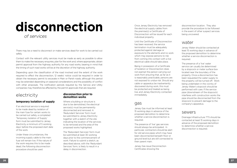## of services **disconnection**

There may be a need to disconnect or make services dead for work to be carried out safely.

Contact with the relevant utility services must be made as early as possible to allow them to make the necessary enquiries, plan for the work and, where appropriate, obtain permit approval from the highway authority for any road works, bearing in mind that the timing of such road works will be at the discretion of the highway authority.

Depending upon the classification of the road involved and the extent of the work required to effect the disconnection, 12 weeks' notice could be required in order to obtain the necessary permit to excavate in Main or Parish roads; although this period may be extended depending on seasonal considerations and the possibility of conflict with other proposals. The notification periods required by the Service and Utility companies may therefore be affected by the permit approvals that are required.

## electricity

#### **temporary isolation of supply**

If an electrical service is required to be made dead by isolation of the main fuse for certain works to be carried out safely, a completed 'Temporary Isolation of Supply' form must be submitted to Jersey Electricity a minimum of 5 working days' before the proposed start date of the work.

Under these circumstances, the incoming supply cable to the main fuse will remain live. If the nature of the work requires this to be made dead, the following disconnection procedure should be used.

#### **disconnection prior to demolition works**

Where a building or structure is due to be demolished, the electrical service(s) must be permanently disconnected and removed. A 'Redundant Services' form must be submitted to Jersey Electricity together with a sketch of the site indicating the location of the services to be removed and the area of the proposed works highlighted.

The 'Redundant Services' form must be submitted at least 30 working days prior to the commencement of work. Failure to submit a sketch, as described above, with the 'Redundant Services' form, is likely to result in a delay in disconnection.

Once Jersey Electricity has removed the electrical supply cables from the premise(s) a Certificate of Disconnection will be issued for each individual property.

Until the Certificate of Disconnection has been received, the service termination must be adequately protected against damage or exposure to the elements and no work which may expose persons to risk from coming into contact with a live electrical cable should take place.

Being in possession of a Certificate of Isolation or Disconnection does not exempt the person carrying out work from ensuring that, as far as it is reasonably practicable, persons are not exposed to undue risk. Should any cable or apparatus be inadvertently discovered during work, this must be protected and treated as being live, and Jersey Electricity contacted immediately.

### gas

Jersey Gas must be informed at least 15 working days in advance of the proposed demolition to determine whether a service disconnection is required.

The presence of 'live' gas services should always be anticipated. In particular, contractors should be alert for old service pipes which may have been disconnected beneath floor or ground level but are still connected to their parent main.

Jersey Gas issue Disconnection Certificates showing the

disconnection location. They also provide the procedure to be followed in the event of other suspect services being uncovered.

## water

Jersey Water should be contacted at least 15 working days in advance of the proposed demolition to determine whether a service disconnection is required.

The presence of a 'live' water service can usually be determined by a stopcock or meter surface box located near the boundary of the property. Once a disconnection has been requested the water supply to the property will be turned off. Work being undertaken in the vicinity of Jersey Water's stopcock should be performed with care. If the service pipe (downstream of the stopcock) interferes with construction works the pipe should be disconnected from the stopcock to prevent damage to the company's apparatus.

### sewers

Drainage Infrastructure TTS should be contacted at least 15 working days in advance of the proposed demolition to determine whether a service disconnection is required.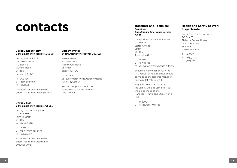# **contacts**

#### **Jersey Electricity 24hr Emergency service 505050**

Jersey Electricity plc The Powerhouse PO Box 45 Queens Road St Helier Jersey JE4 8NY

T: 505460 E: jec@jec.co.uk W: jec.co.uk

Requests for plans should be addressed to the Drawing Office

#### **Jersey Gas 24hr Emergency service 755555**

Jersey Gas Company Ltd PO Box 169 Tunnell Street St Helier Jersey JE4 8RE

T: 755500 E: mains@jsy-gas.com W: jsygas.com

Requests for plans should be addressed to the Distribution Drawing Office

#### **Jersey Water 24 Hr Emergency response 707302**

Jersey Water Mulcaster House Westmount Road St Helier Jersey JE1 1DG

T: 707300 E: customerservices@jerseywater.je W: jerseywater.je

Request for plans should be addressed to the Distribution Department

#### **Transport and Technical Services Out of hours Emergency service 725351**

Transport and Technical Services PO Box 412 States Offices South Hill St. Helier Jersey JE4 8UY

T: 445509 E: tts@gov.je W: gov.je/governmentdepartments/tts

Enquiries in connection with the TTS network and apparatus should be made to the Records Manager, Drainage Infrastructure TTS

Enquiries to obtain access to the Jersey Utilities Services Map should be made to the Manager - Traffic and Streetworks TTS

T: 448690 E: streetworks@gov.je

#### **Health and Safety at Work Inspectorate**

Social Security Department PO Box 55 Philip Le Feuvre House La Motte Street St Helier Jersey JE4 8PE

T: 447300 E: hsi@gov.je W: gov.je/hsi